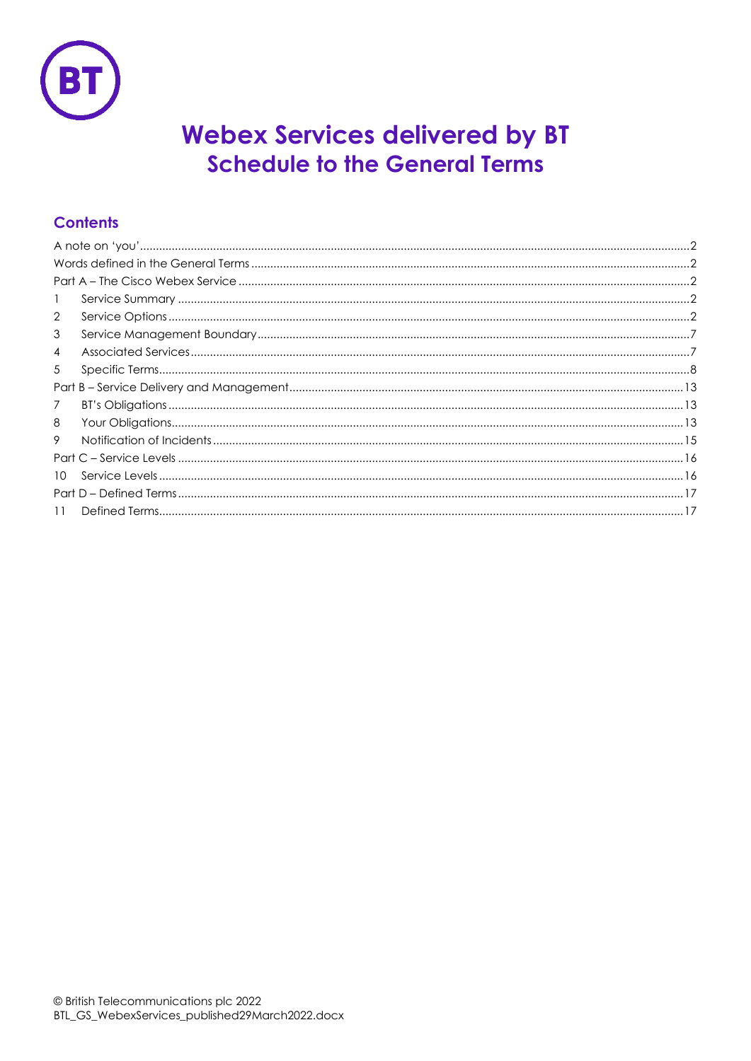

# **Webex Services delivered by BT Schedule to the General Terms**

## **Contents**

| 1               |  |  |
|-----------------|--|--|
| $\overline{2}$  |  |  |
| 3               |  |  |
| 4               |  |  |
| 5               |  |  |
|                 |  |  |
| $\overline{7}$  |  |  |
| 8               |  |  |
| 9               |  |  |
|                 |  |  |
| 10 <sup>1</sup> |  |  |
|                 |  |  |
| 11              |  |  |
|                 |  |  |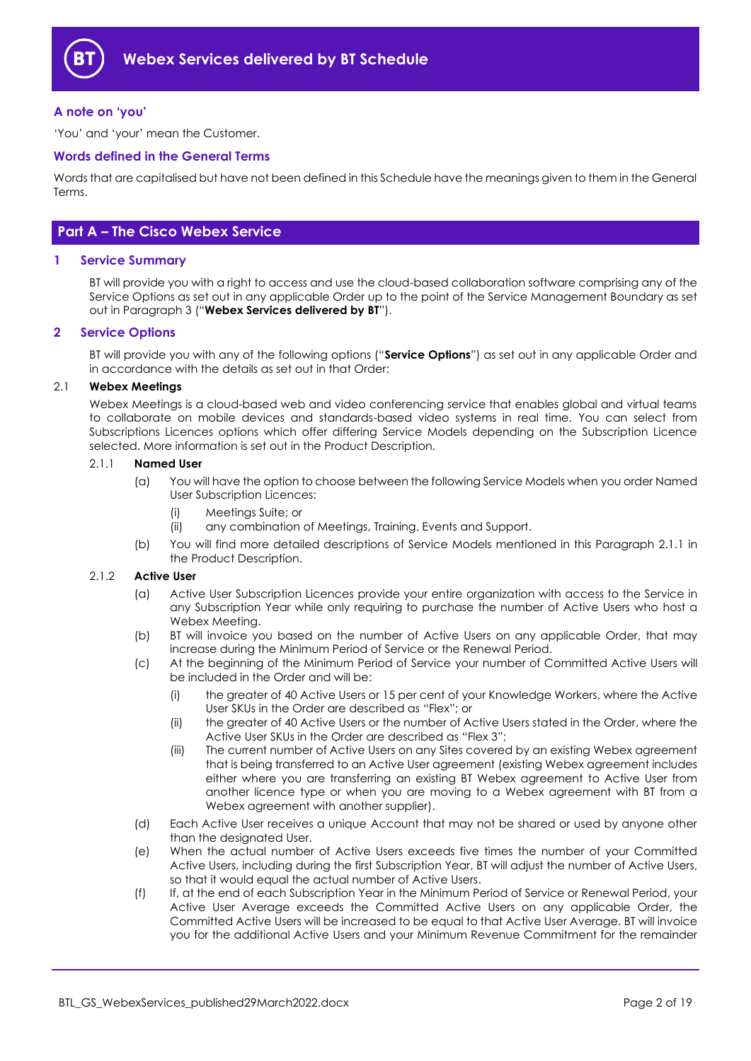

#### <span id="page-1-0"></span>**A note on 'you'**

'You' and 'your' mean the Customer.

#### <span id="page-1-1"></span>**Words defined in the General Terms**

Words that are capitalised but have not been defined in this Schedule have the meanings given to them in the General Terms.

## <span id="page-1-2"></span>**Part A – The Cisco Webex Service**

#### <span id="page-1-3"></span>**1 Service Summary**

BT will provide you with a right to access and use the cloud-based collaboration software comprising any of the Service Options as set out in any applicable Order up to the point of the Service Management Boundary as set out in Paragraph [3](#page-6-0) ("**Webex Services delivered by BT**").

#### <span id="page-1-4"></span>**2 Service Options**

BT will provide you with any of the following options ("**Service Options**") as set out in any applicable Order and in accordance with the details as set out in that Order:

#### <span id="page-1-5"></span>2.1 **Webex Meetings**

Webex Meetings is a cloud-based web and video conferencing service that enables global and virtual teams to collaborate on mobile devices and standards-based video systems in real time. You can select from Subscriptions Licences options which offer differing Service Models depending on the Subscription Licence selected. More information is set out in the Product Description.

#### 2.1.1 **Named User**

- (a) You will have the option to choose between the following Service Models when you order Named User Subscription Licences:
	- (i) Meetings Suite; or
	- (ii) any combination of Meetings, Training, Events and Support.
- (b) You will find more detailed descriptions of Service Models mentioned in this Paragraph 2.1.1 in the Product Description.

#### 2.1.2 **Active User**

- (a) Active User Subscription Licences provide your entire organization with access to the Service in any Subscription Year while only requiring to purchase the number of Active Users who host a Webex Meeting.
- (b) BT will invoice you based on the number of Active Users on any applicable Order, that may increase during the Minimum Period of Service or the Renewal Period.
- (c) At the beginning of the Minimum Period of Service your number of Committed Active Users will be included in the Order and will be:
	- (i) the greater of 40 Active Users or 15 per cent of your Knowledge Workers, where the Active User SKUs in the Order are described as "Flex"; or
	- (ii) the greater of 40 Active Users or the number of Active Users stated in the Order, where the Active User SKUs in the Order are described as "Flex 3";
	- (iii) The current number of Active Users on any Sites covered by an existing Webex agreement that is being transferred to an Active User agreement (existing Webex agreement includes either where you are transferring an existing BT Webex agreement to Active User from another licence type or when you are moving to a Webex agreement with BT from a Webex agreement with another supplier).
- (d) Each Active User receives a unique Account that may not be shared or used by anyone other than the designated User.
- (e) When the actual number of Active Users exceeds five times the number of your Committed Active Users, including during the first Subscription Year, BT will adjust the number of Active Users, so that it would equal the actual number of Active Users.
- (f) If, at the end of each Subscription Year in the Minimum Period of Service or Renewal Period, your Active User Average exceeds the Committed Active Users on any applicable Order, the Committed Active Users will be increased to be equal to that Active User Average. BT will invoice you for the additional Active Users and your Minimum Revenue Commitment for the remainder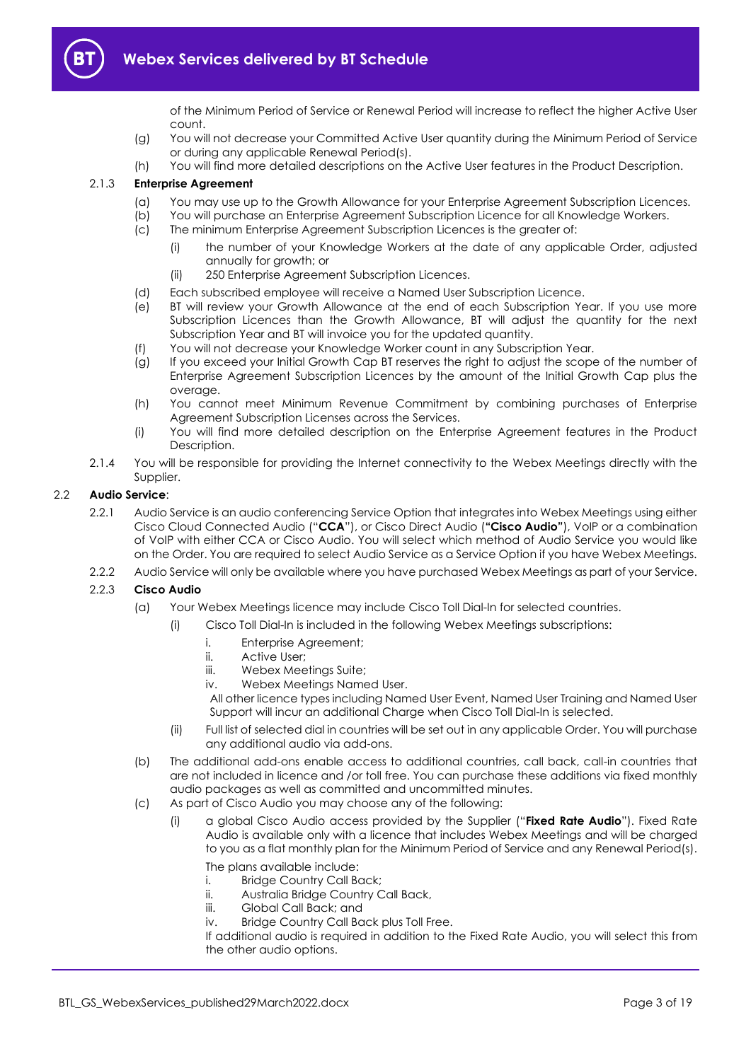

of the Minimum Period of Service or Renewal Period will increase to reflect the higher Active User count.

- (g) You will not decrease your Committed Active User quantity during the Minimum Period of Service or during any applicable Renewal Period(s).
- (h) You will find more detailed descriptions on the Active User features in the Product Description.

#### 2.1.3 **Enterprise Agreement**

- (a) You may use up to the Growth Allowance for your Enterprise Agreement Subscription Licences.
- (b) You will purchase an Enterprise Agreement Subscription Licence for all Knowledge Workers.
- (c) The minimum Enterprise Agreement Subscription Licences is the greater of:
	- (i) the number of your Knowledge Workers at the date of any applicable Order, adjusted annually for growth; or
	- (ii) 250 Enterprise Agreement Subscription Licences.
- (d) Each subscribed employee will receive a Named User Subscription Licence.
- (e) BT will review your Growth Allowance at the end of each Subscription Year. If you use more Subscription Licences than the Growth Allowance, BT will adjust the quantity for the next Subscription Year and BT will invoice you for the updated quantity.
- (f) You will not decrease your Knowledge Worker count in any Subscription Year.
- (g) If you exceed your Initial Growth Cap BT reserves the right to adjust the scope of the number of Enterprise Agreement Subscription Licences by the amount of the Initial Growth Cap plus the overage.
- (h) You cannot meet Minimum Revenue Commitment by combining purchases of Enterprise Agreement Subscription Licenses across the Services.
- (i) You will find more detailed description on the Enterprise Agreement features in the Product Description.
- 2.1.4 You will be responsible for providing the Internet connectivity to the Webex Meetings directly with the Supplier.

#### <span id="page-2-0"></span>2.2 **Audio Service**:

- 2.2.1 Audio Service is an audio conferencing Service Option that integrates into Webex Meetings using either Cisco Cloud Connected Audio ("**CCA**"), or Cisco Direct Audio (**"Cisco Audio"**), VoIP or a combination of VoIP with either CCA or Cisco Audio. You will select which method of Audio Service you would like on the Order. You are required to select Audio Service as a Service Option if you have Webex Meetings.
- 2.2.2 Audio Service will only be available where you have purchased Webex Meetings as part of your Service.

#### 2.2.3 **Cisco Audio**

- (a) Your Webex Meetings licence may include Cisco Toll Dial-In for selected countries.
	- (i) Cisco Toll Dial-In is included in the following Webex Meetings subscriptions:
		- i. Enterprise Agreement;
		- ii. Active User;
		- iii. Webex Meetings Suite;
		- iv. Webex Meetings Named User.

All other licence types including Named User Event, Named User Training and Named User Support will incur an additional Charge when Cisco Toll Dial-In is selected.

- (ii) Full list of selected dial in countries will be set out in any applicable Order. You will purchase any additional audio via add-ons.
- (b) The additional add-ons enable access to additional countries, call back, call-in countries that are not included in licence and /or toll free. You can purchase these additions via fixed monthly audio packages as well as committed and uncommitted minutes.
- <span id="page-2-1"></span>(c) As part of Cisco Audio you may choose any of the following:
	- (i) a global Cisco Audio access provided by the Supplier ("**Fixed Rate Audio**"). Fixed Rate Audio is available only with a licence that includes Webex Meetings and will be charged to you as a flat monthly plan for the Minimum Period of Service and any Renewal Period(s).

The plans available include:

- i. Bridge Country Call Back;
- ii. Australia Bridge Country Call Back,
- iii. Global Call Back; and
- iv. Bridge Country Call Back plus Toll Free.

If additional audio is required in addition to the Fixed Rate Audio, you will select this from the other audio options.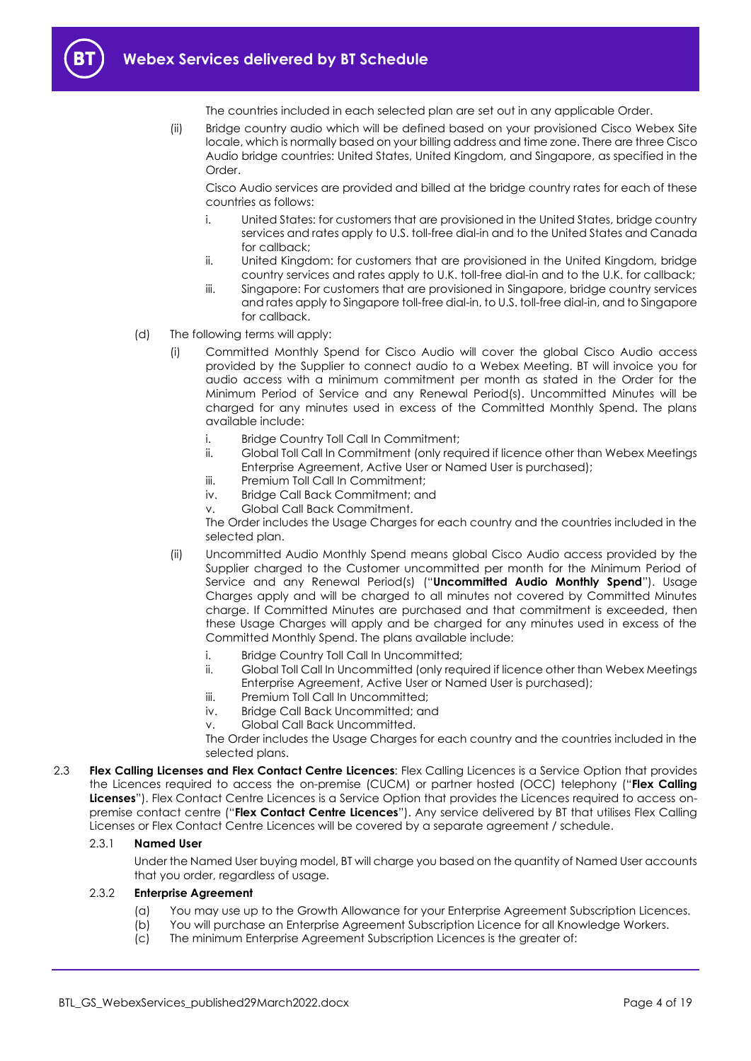

The countries included in each selected plan are set out in any applicable Order.

(ii) Bridge country audio which will be defined based on your provisioned Cisco Webex Site locale, which is normally based on your billing address and time zone. There are three Cisco Audio bridge countries: United States, United Kingdom, and Singapore, as specified in the Order<sub>.</sub>

Cisco Audio services are provided and billed at the bridge country rates for each of these countries as follows:

- i. United States: for customers that are provisioned in the United States, bridge country services and rates apply to U.S. toll-free dial-in and to the United States and Canada for callback;
- ii. United Kingdom: for customers that are provisioned in the United Kingdom, bridge country services and rates apply to U.K. toll-free dial-in and to the U.K. for callback;
- iii. Singapore: For customers that are provisioned in Singapore, bridge country services and rates apply to Singapore toll-free dial-in, to U.S. toll-free dial-in, and to Singapore for callback.
- (d) The following terms will apply:
	- (i) Committed Monthly Spend for Cisco Audio will cover the global Cisco Audio access provided by the Supplier to connect audio to a Webex Meeting. BT will invoice you for audio access with a minimum commitment per month as stated in the Order for the Minimum Period of Service and any Renewal Period(s). Uncommitted Minutes will be charged for any minutes used in excess of the Committed Monthly Spend. The plans available include:
		- i. Bridge Country Toll Call In Commitment;
		- ii. Global Toll Call In Commitment (only required if licence other than Webex Meetings Enterprise Agreement, Active User or Named User is purchased);
		- iii. Premium Toll Call In Commitment:
		- iv. Bridge Call Back Commitment; and
		- v. Global Call Back Commitment.

The Order includes the Usage Charges for each country and the countries included in the selected plan.

- <span id="page-3-1"></span>(ii) Uncommitted Audio Monthly Spend means global Cisco Audio access provided by the Supplier charged to the Customer uncommitted per month for the Minimum Period of Service and any Renewal Period(s) ("**Uncommitted Audio Monthly Spend**"). Usage Charges apply and will be charged to all minutes not covered by Committed Minutes charge. If Committed Minutes are purchased and that commitment is exceeded, then these Usage Charges will apply and be charged for any minutes used in excess of the Committed Monthly Spend. The plans available include:
	- i. Bridge Country Toll Call In Uncommitted;
	- ii. Global Toll Call In Uncommitted (only required if licence other than Webex Meetings Enterprise Agreement, Active User or Named User is purchased);
	- iii. Premium Toll Call In Uncommitted:
	- iv. Bridge Call Back Uncommitted; and
	- v. Global Call Back Uncommitted.

The Order includes the Usage Charges for each country and the countries included in the selected plans.

<span id="page-3-0"></span>2.3 **Flex Calling Licenses and Flex Contact Centre Licences**: Flex Calling Licences is a Service Option that provides the Licences required to access the on-premise (CUCM) or partner hosted (OCC) telephony ("**Flex Calling Licenses**"). Flex Contact Centre Licences is a Service Option that provides the Licences required to access onpremise contact centre ("**Flex Contact Centre Licences**"). Any service delivered by BT that utilises Flex Calling Licenses or Flex Contact Centre Licences will be covered by a separate agreement / schedule.

#### 2.3.1 **Named User**

Under the Named User buying model, BT will charge you based on the quantity of Named User accounts that you order, regardless of usage.

#### 2.3.2 **Enterprise Agreement**

- (a) You may use up to the Growth Allowance for your Enterprise Agreement Subscription Licences.
- (b) You will purchase an Enterprise Agreement Subscription Licence for all Knowledge Workers.
- (c) The minimum Enterprise Agreement Subscription Licences is the greater of: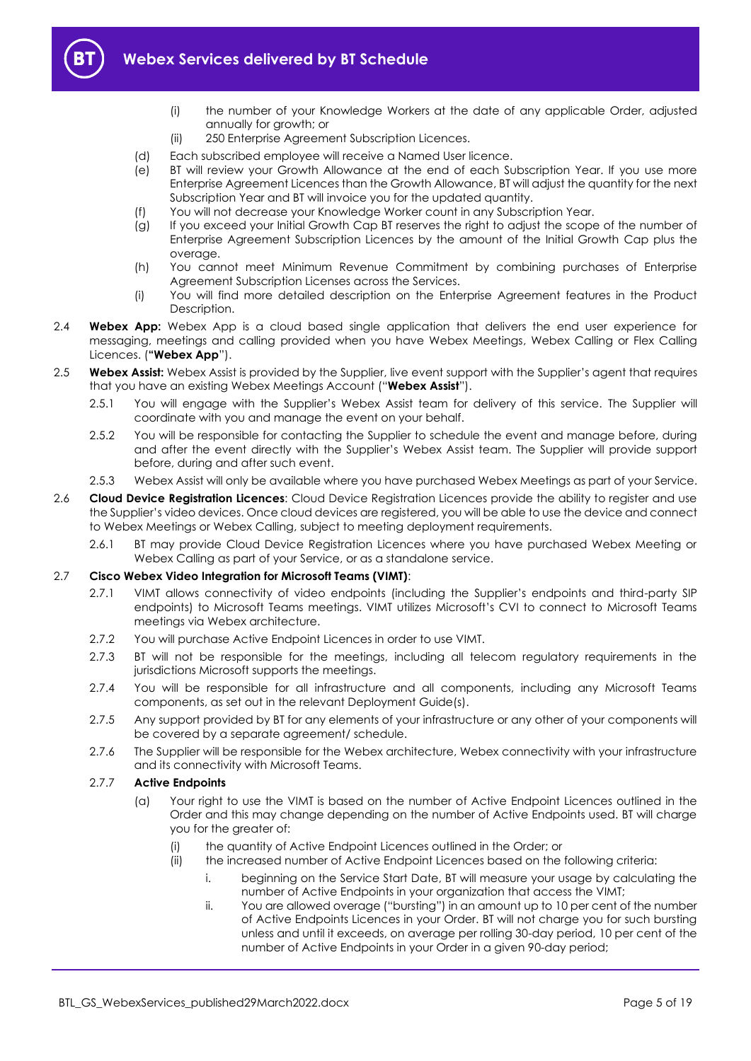

- (i) the number of your Knowledge Workers at the date of any applicable Order, adjusted annually for growth; or
- (ii) 250 Enterprise Agreement Subscription Licences.
- (d) Each subscribed employee will receive a Named User licence.
- (e) BT will review your Growth Allowance at the end of each Subscription Year. If you use more Enterprise Agreement Licences than the Growth Allowance, BT will adjust the quantity for the next Subscription Year and BT will invoice you for the updated quantity.
- (f) You will not decrease your Knowledge Worker count in any Subscription Year.
- (g) If you exceed your Initial Growth Cap BT reserves the right to adjust the scope of the number of Enterprise Agreement Subscription Licences by the amount of the Initial Growth Cap plus the overage.
- (h) You cannot meet Minimum Revenue Commitment by combining purchases of Enterprise Agreement Subscription Licenses across the Services.
- (i) You will find more detailed description on the Enterprise Agreement features in the Product Description.
- <span id="page-4-1"></span>2.4 **Webex App:** Webex App is a cloud based single application that delivers the end user experience for messaging, meetings and calling provided when you have Webex Meetings, Webex Calling or Flex Calling Licences. (**"Webex App**").
- <span id="page-4-2"></span>2.5 **Webex Assist:** Webex Assist is provided by the Supplier, live event support with the Supplier's agent that requires that you have an existing Webex Meetings Account ("**Webex Assist**").
	- 2.5.1 You will engage with the Supplier's Webex Assist team for delivery of this service. The Supplier will coordinate with you and manage the event on your behalf.
	- 2.5.2 You will be responsible for contacting the Supplier to schedule the event and manage before, during and after the event directly with the Supplier's Webex Assist team. The Supplier will provide support before, during and after such event.
	- 2.5.3 Webex Assist will only be available where you have purchased Webex Meetings as part of your Service.
- 2.6 **Cloud Device Registration Licences**: Cloud Device Registration Licences provide the ability to register and use the Supplier's video devices. Once cloud devices are registered, you will be able to use the device and connect to Webex Meetings or Webex Calling, subject to meeting deployment requirements.
	- 2.6.1 BT may provide Cloud Device Registration Licences where you have purchased Webex Meeting or Webex Calling as part of your Service, or as a standalone service.

#### <span id="page-4-0"></span>2.7 **Cisco Webex Video Integration for Microsoft Teams (VIMT)**:

- 2.7.1 VIMT allows connectivity of video endpoints (including the Supplier's endpoints and third-party SIP endpoints) to Microsoft Teams meetings. VIMT utilizes Microsoft's CVI to connect to Microsoft Teams meetings via Webex architecture.
- 2.7.2 You will purchase Active Endpoint Licences in order to use VIMT.
- 2.7.3 BT will not be responsible for the meetings, including all telecom requidory requirements in the jurisdictions Microsoft supports the meetings.
- 2.7.4 You will be responsible for all infrastructure and all components, including any Microsoft Teams components, as set out in the relevant Deployment Guide(s).
- 2.7.5 Any support provided by BT for any elements of your infrastructure or any other of your components will be covered by a separate agreement/ schedule.
- 2.7.6 The Supplier will be responsible for the Webex architecture, Webex connectivity with your infrastructure and its connectivity with Microsoft Teams.

#### 2.7.7 **Active Endpoints**

- (a) Your right to use the VIMT is based on the number of Active Endpoint Licences outlined in the Order and this may change depending on the number of Active Endpoints used. BT will charge you for the greater of:
	- (i) the quantity of Active Endpoint Licences outlined in the Order; or
	- (ii) the increased number of Active Endpoint Licences based on the following criteria:
		- i. beginning on the Service Start Date, BT will measure your usage by calculating the number of Active Endpoints in your organization that access the VIMT;
		- ii. You are allowed overage ("bursting") in an amount up to 10 per cent of the number of Active Endpoints Licences in your Order. BT will not charge you for such bursting unless and until it exceeds, on average per rolling 30-day period, 10 per cent of the number of Active Endpoints in your Order in a given 90-day period;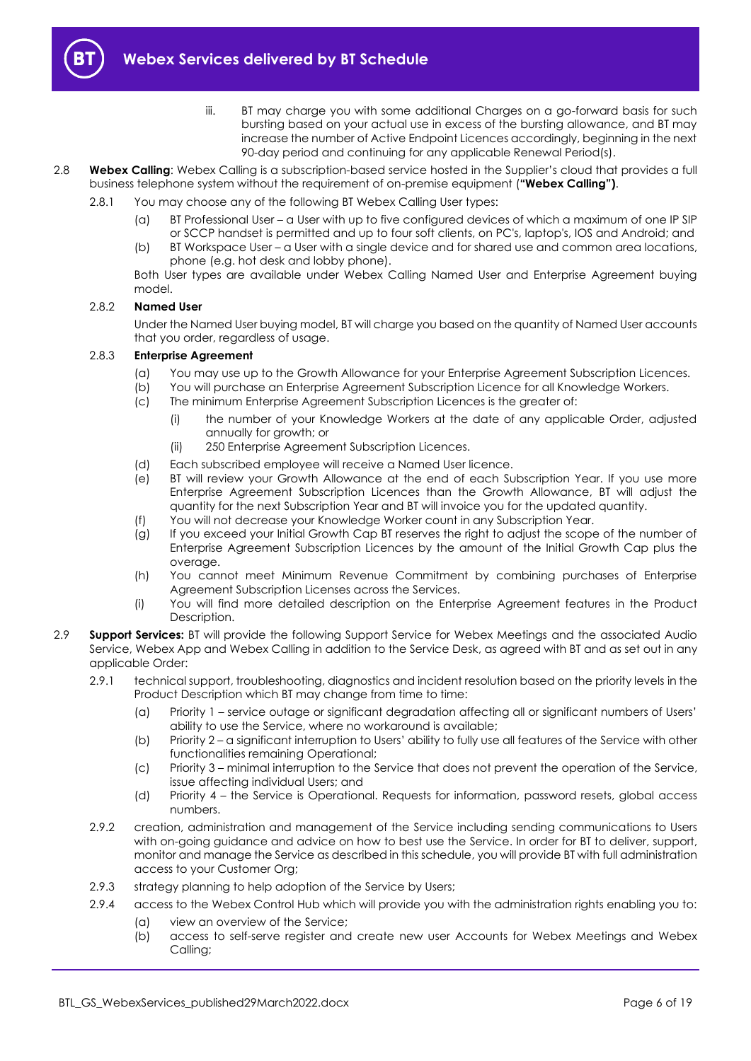

- iii. BT may charge you with some additional Charges on a go-forward basis for such bursting based on your actual use in excess of the bursting allowance, and BT may increase the number of Active Endpoint Licences accordingly, beginning in the next 90-day period and continuing for any applicable Renewal Period(s).
- 2.8 **Webex Calling**: Webex Calling is a subscription-based service hosted in the Supplier's cloud that provides a full business telephone system without the requirement of on-premise equipment (**"Webex Calling")**.
	- 2.8.1 You may choose any of the following BT Webex Calling User types:
		- (a) BT Professional User a User with up to five configured devices of which a maximum of one IP SIP or SCCP handset is permitted and up to four soft clients, on PC's, laptop's, IOS and Android; and
		- (b) BT Workspace User a User with a single device and for shared use and common area locations, phone (e.g. hot desk and lobby phone).

Both User types are available under Webex Calling Named User and Enterprise Agreement buying model.

#### 2.8.2 **Named User**

Under the Named User buying model, BT will charge you based on the quantity of Named User accounts that you order, regardless of usage.

#### 2.8.3 **Enterprise Agreement**

- (a) You may use up to the Growth Allowance for your Enterprise Agreement Subscription Licences.
- (b) You will purchase an Enterprise Agreement Subscription Licence for all Knowledge Workers.
- (c) The minimum Enterprise Agreement Subscription Licences is the greater of:
	- (i) the number of your Knowledge Workers at the date of any applicable Order, adjusted annually for growth; or
	- (ii) 250 Enterprise Agreement Subscription Licences.
- (d) Each subscribed employee will receive a Named User licence.
- (e) BT will review your Growth Allowance at the end of each Subscription Year. If you use more Enterprise Agreement Subscription Licences than the Growth Allowance, BT will adjust the quantity for the next Subscription Year and BT will invoice you for the updated quantity.
- (f) You will not decrease your Knowledge Worker count in any Subscription Year.
- (g) If you exceed your Initial Growth Cap BT reserves the right to adjust the scope of the number of Enterprise Agreement Subscription Licences by the amount of the Initial Growth Cap plus the overage
- (h) You cannot meet Minimum Revenue Commitment by combining purchases of Enterprise Agreement Subscription Licenses across the Services.
- (i) You will find more detailed description on the Enterprise Agreement features in the Product Description.
- <span id="page-5-0"></span>2.9 **Support Services:** BT will provide the following Support Service for Webex Meetings and the associated Audio Service, Webex App and Webex Calling in addition to the Service Desk, as agreed with BT and as set out in any applicable Order:
	- 2.9.1 technical support, troubleshooting, diagnostics and incident resolution based on the priority levels in the Product Description which BT may change from time to time:
		- (a) Priority 1 service outage or significant degradation affecting all or significant numbers of Users' ability to use the Service, where no workaround is available;
		- (b) Priority 2 a significant interruption to Users' ability to fully use all features of the Service with other functionalities remaining Operational;
		- (c) Priority 3 minimal interruption to the Service that does not prevent the operation of the Service, issue affecting individual Users; and
		- (d) Priority 4 the Service is Operational. Requests for information, password resets, global access numbers.
	- 2.9.2 creation, administration and management of the Service including sending communications to Users with on-going guidance and advice on how to best use the Service. In order for BT to deliver, support, monitor and manage the Service as described in this schedule, you will provide BT with full administration access to your Customer Org;
	- 2.9.3 strategy planning to help adoption of the Service by Users;
	- 2.9.4 access to the Webex Control Hub which will provide you with the administration rights enabling you to: (a) view an overview of the Service;
		- (b) access to self-serve register and create new user Accounts for Webex Meetings and Webex Calling;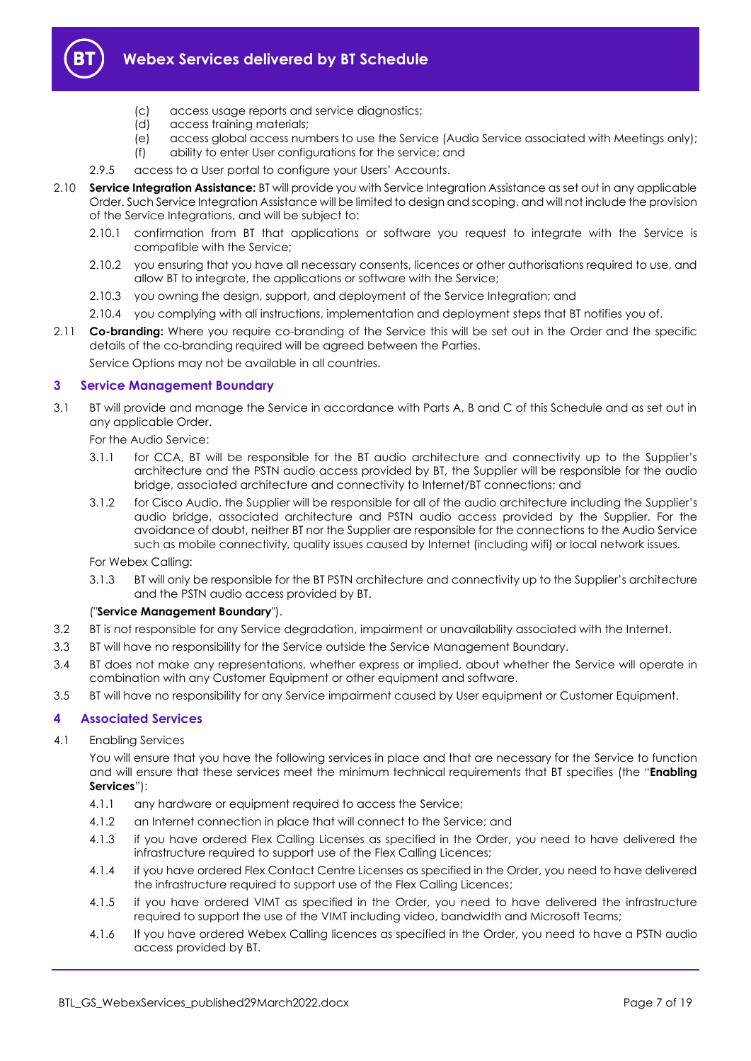

- (c) access usage reports and service diagnostics;
- (d) access training materials;
- (e) access global access numbers to use the Service (Audio Service associated with Meetings only);
- (f) ability to enter User configurations for the service; and
- 2.9.5 access to a User portal to configure your Users' Accounts.
- <span id="page-6-3"></span>2.10 **Service Integration Assistance:** BT will provide you with Service Integration Assistance as set out in any applicable Order. Such Service Integration Assistance will be limited to design and scoping, and will not include the provision of the Service Integrations, and will be subject to:
	- 2.10.1 confirmation from BT that applications or software you request to integrate with the Service is compatible with the Service;
	- 2.10.2 you ensuring that you have all necessary consents, licences or other authorisations required to use, and allow BT to integrate, the applications or software with the Service;
	- 2.10.3 you owning the design, support, and deployment of the Service Integration; and
	- 2.10.4 you complying with all instructions, implementation and deployment steps that BT notifies you of.
- 2.11 **Co-branding:** Where you require co-branding of the Service this will be set out in the Order and the specific details of the co-branding required will be agreed between the Parties.

Service Options may not be available in all countries.

#### <span id="page-6-0"></span>**3 Service Management Boundary**

- <span id="page-6-4"></span>3.1 BT will provide and manage the Service in accordance with Parts A, B and C of this Schedule and as set out in any applicable Order.
	- For the Audio Service:
	- 3.1.1 for CCA, BT will be responsible for the BT audio architecture and connectivity up to the Supplier's architecture and the PSTN audio access provided by BT, the Supplier will be responsible for the audio bridge, associated architecture and connectivity to Internet/BT connections; and
	- 3.1.2 for Cisco Audio, the Supplier will be responsible for all of the audio architecture including the Supplier's audio bridge, associated architecture and PSTN audio access provided by the Supplier. For the avoidance of doubt, neither BT nor the Supplier are responsible for the connections to the Audio Service such as mobile connectivity, quality issues caused by Internet (including wifi) or local network issues.

For Webex Calling:

3.1.3 BT will only be responsible for the BT PSTN architecture and connectivity up to the Supplier's architecture and the PSTN audio access provided by BT.

#### ("**Service Management Boundary**").

- 3.2 BT is not responsible for any Service degradation, impairment or unavailability associated with the Internet.
- 3.3 BT will have no responsibility for the Service outside the Service Management Boundary.
- 3.4 BT does not make any representations, whether express or implied, about whether the Service will operate in combination with any Customer Equipment or other equipment and software.
- 3.5 BT will have no responsibility for any Service impairment caused by User equipment or Customer Equipment.

#### <span id="page-6-1"></span>**4 Associated Services**

<span id="page-6-2"></span>4.1 Enabling Services

You will ensure that you have the following services in place and that are necessary for the Service to function and will ensure that these services meet the minimum technical requirements that BT specifies (the "**Enabling Services**"):

- 4.1.1 any hardware or equipment required to access the Service;
- 4.1.2 an Internet connection in place that will connect to the Service; and
- 4.1.3 if you have ordered Flex Calling Licenses as specified in the Order, you need to have delivered the infrastructure required to support use of the Flex Calling Licences;
- 4.1.4 if you have ordered Flex Contact Centre Licenses as specified in the Order, you need to have delivered the infrastructure required to support use of the Flex Calling Licences;
- 4.1.5 if you have ordered VIMT as specified in the Order, you need to have delivered the infrastructure required to support the use of the VIMT including video, bandwidth and Microsoft Teams;
- 4.1.6 If you have ordered Webex Calling licences as specified in the Order, you need to have a PSTN audio access provided by BT.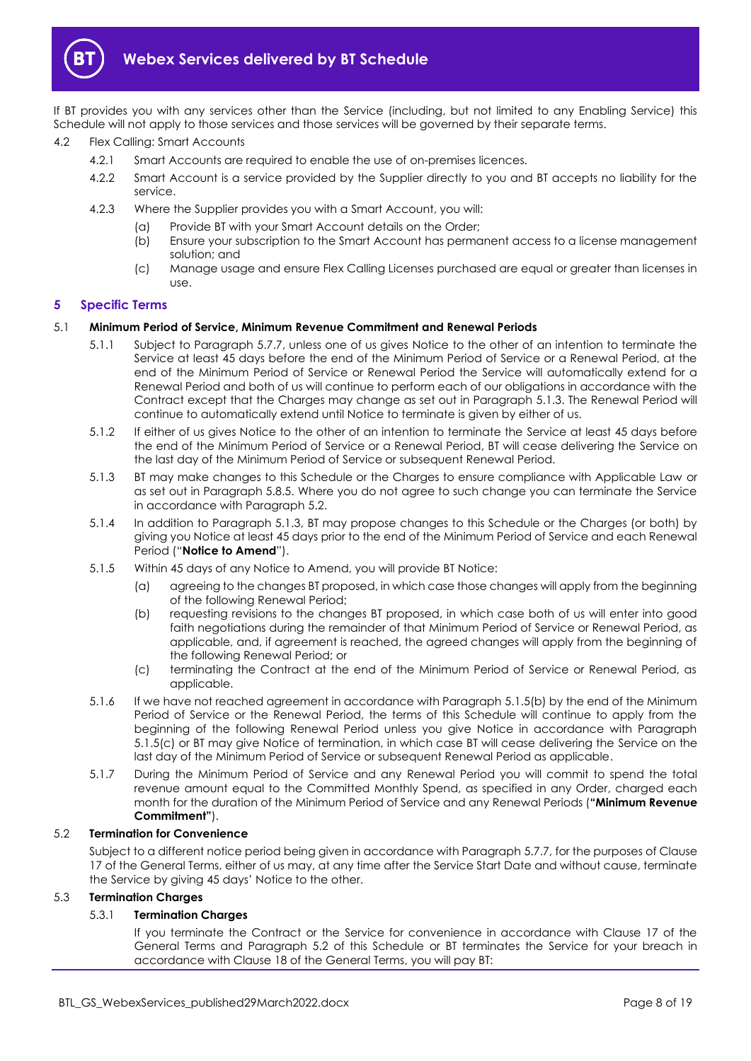

If BT provides you with any services other than the Service (including, but not limited to any Enabling Service) this Schedule will not apply to those services and those services will be governed by their separate terms.

- 4.2 Flex Calling: Smart Accounts
	- 4.2.1 Smart Accounts are required to enable the use of on-premises licences.
	- 4.2.2 Smart Account is a service provided by the Supplier directly to you and BT accepts no liability for the service.
	- 4.2.3 Where the Supplier provides you with a Smart Account, you will:
		- (a) Provide BT with your Smart Account details on the Order;
		- (b) Ensure your subscription to the Smart Account has permanent access to a license management solution; and
		- (c) Manage usage and ensure Flex Calling Licenses purchased are equal or greater than licenses in use.

#### <span id="page-7-0"></span>**5 Specific Terms**

#### 5.1 **Minimum Period of Service, Minimum Revenue Commitment and Renewal Periods**

- 5.1.1 Subject to Paragraph [5.7.7,](#page-10-0) unless one of us gives Notice to the other of an intention to terminate the Service at least 45 days before the end of the Minimum Period of Service or a Renewal Period, at the end of the Minimum Period of Service or Renewal Period the Service will automatically extend for a Renewal Period and both of us will continue to perform each of our obligations in accordance with the Contract except that the Charges may change as set out in Paragraph [5.1.3.](#page-7-1) The Renewal Period will continue to automatically extend until Notice to terminate is given by either of us.
- 5.1.2 If either of us gives Notice to the other of an intention to terminate the Service at least 45 days before the end of the Minimum Period of Service or a Renewal Period, BT will cease delivering the Service on the last day of the Minimum Period of Service or subsequent Renewal Period.
- <span id="page-7-1"></span>5.1.3 BT may make changes to this Schedule or the Charges to ensure compliance with Applicable Law or as set out in Paragrap[h 5.8.5.](#page-10-1) Where you do not agree to such change you can terminate the Service in accordance with Paragraph [5.2.](#page-7-2)
- 5.1.4 In addition to Paragraph [5.1.3,](#page-7-1) BT may propose changes to this Schedule or the Charges (or both) by giving you Notice at least 45 days prior to the end of the Minimum Period of Service and each Renewal Period ("**Notice to Amend**").
- <span id="page-7-3"></span>5.1.5 Within 45 days of any Notice to Amend, you will provide BT Notice:
	- (a) agreeing to the changes BT proposed, in which case those changes will apply from the beginning of the following Renewal Period;
	- (b) requesting revisions to the changes BT proposed, in which case both of us will enter into good faith negotiations during the remainder of that Minimum Period of Service or Renewal Period, as applicable, and, if agreement is reached, the agreed changes will apply from the beginning of the following Renewal Period; or
	- (c) terminating the Contract at the end of the Minimum Period of Service or Renewal Period, as applicable.
- <span id="page-7-4"></span>5.1.6 If we have not reached agreement in accordance with Paragraph [5.1.5\(b\)](#page-7-3) by the end of the Minimum Period of Service or the Renewal Period, the terms of this Schedule will continue to apply from the beginning of the following Renewal Period unless you give Notice in accordance with Paragraph [5.1.5\(c\)](#page-7-4) or BT may give Notice of termination, in which case BT will cease delivering the Service on the last day of the Minimum Period of Service or subsequent Renewal Period as applicable.
- <span id="page-7-7"></span>5.1.7 During the Minimum Period of Service and any Renewal Period you will commit to spend the total revenue amount equal to the Committed Monthly Spend, as specified in any Order, charged each month for the duration of the Minimum Period of Service and any Renewal Periods (**"Minimum Revenue Commitment"**).

#### <span id="page-7-2"></span>5.2 **Termination for Convenience**

Subject to a different notice period being given in accordance with Paragrap[h 5.7.7,](#page-10-0) for the purposes of Clause 17 of the General Terms, either of us may, at any time after the Service Start Date and without cause, terminate the Service by giving 45 days' Notice to the other.

#### <span id="page-7-6"></span><span id="page-7-5"></span>5.3 **Termination Charges**

#### 5.3.1 **Termination Charges**

If you terminate the Contract or the Service for convenience in accordance with Clause 17 of the General Terms and Paragraph [5.2](#page-7-2) of this Schedule or BT terminates the Service for your breach in accordance with Clause 18 of the General Terms, you will pay BT: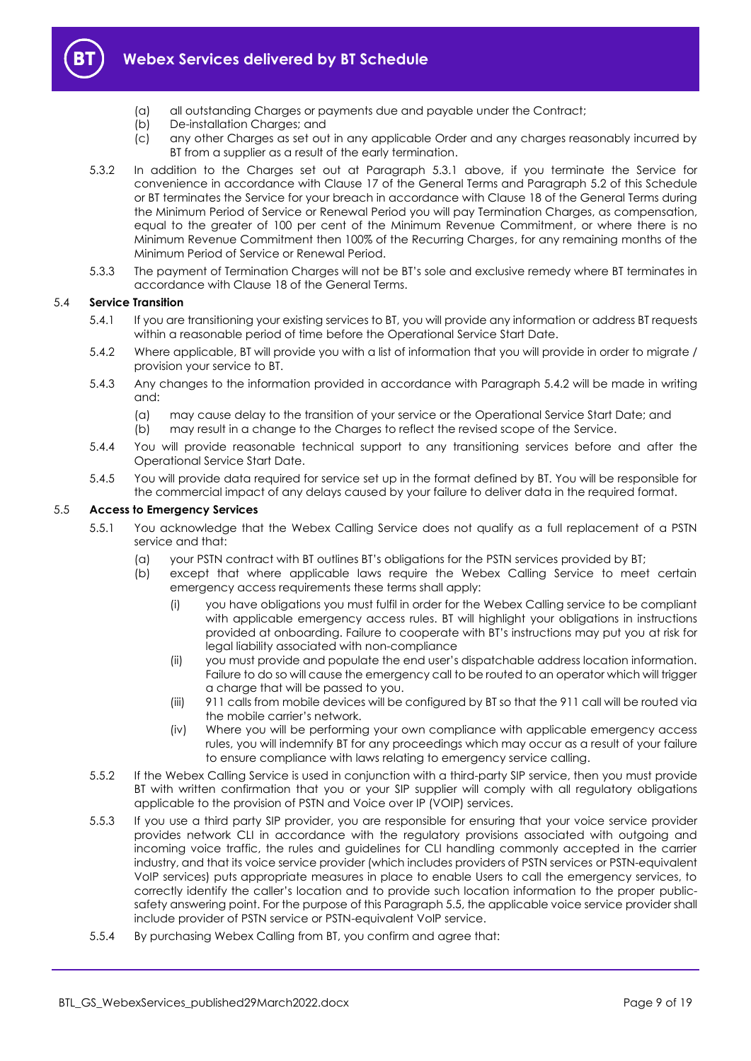

- (a) all outstanding Charges or payments due and payable under the Contract;
- (b) De-installation Charges; and
- (c) any other Charges as set out in any applicable Order and any charges reasonably incurred by BT from a supplier as a result of the early termination.
- 5.3.2 In addition to the Charges set out at Paragraph [5.3.1](#page-7-5) above, if you terminate the Service for convenience in accordance with Clause 17 of the General Terms and Paragraph [5.2](#page-7-2) of this Schedule or BT terminates the Service for your breach in accordance with Clause 18 of the General Terms during the Minimum Period of Service or Renewal Period you will pay Termination Charges, as compensation, equal to the greater of 100 per cent of the Minimum Revenue Commitment, or where there is no Minimum Revenue Commitment then 100% of the Recurring Charges, for any remaining months of the Minimum Period of Service or Renewal Period.
- 5.3.3 The payment of Termination Charges will not be BT's sole and exclusive remedy where BT terminates in accordance with Clause 18 of the General Terms.

#### 5.4 **Service Transition**

- 5.4.1 If you are transitioning your existing services to BT, you will provide any information or address BT requests within a reasonable period of time before the Operational Service Start Date.
- <span id="page-8-0"></span>5.4.2 Where applicable, BT will provide you with a list of information that you will provide in order to migrate / provision your service to BT.
- 5.4.3 Any changes to the information provided in accordance with Paragraph [5.4.2](#page-8-0) will be made in writing and:
	- (a) may cause delay to the transition of your service or the Operational Service Start Date; and
	- (b) may result in a change to the Charges to reflect the revised scope of the Service.
- 5.4.4 You will provide reasonable technical support to any transitioning services before and after the Operational Service Start Date.
- 5.4.5 You will provide data required for service set up in the format defined by BT. You will be responsible for the commercial impact of any delays caused by your failure to deliver data in the required format.

#### <span id="page-8-1"></span>5.5 **Access to Emergency Services**

- 5.5.1 You acknowledge that the Webex Calling Service does not qualify as a full replacement of a PSTN service and that:
	- (a) your PSTN contract with BT outlines BT's obligations for the PSTN services provided by BT;
	- (b) except that where applicable laws require the Webex Calling Service to meet certain emergency access requirements these terms shall apply:
		- (i) you have obligations you must fulfil in order for the Webex Calling service to be compliant with applicable emergency access rules. BT will highlight your obligations in instructions provided at onboarding. Failure to cooperate with BT's instructions may put you at risk for legal liability associated with non-compliance
		- (ii) you must provide and populate the end user's dispatchable address location information. Failure to do so will cause the emergency call to be routed to an operator which will trigger a charge that will be passed to you.
		- (iii) 911 calls from mobile devices will be configured by BT so that the 911 call will be routed via the mobile carrier's network.
		- (iv) Where you will be performing your own compliance with applicable emergency access rules, you will indemnify BT for any proceedings which may occur as a result of your failure to ensure compliance with laws relating to emergency service calling.
- 5.5.2 If the Webex Calling Service is used in conjunction with a third-party SIP service, then you must provide BT with written confirmation that you or your SIP supplier will comply with all regulatory obligations applicable to the provision of PSTN and Voice over IP (VOIP) services.
- 5.5.3 If you use a third party SIP provider, you are responsible for ensuring that your voice service provider provides network CLI in accordance with the regulatory provisions associated with outgoing and incoming voice traffic, the rules and guidelines for CLI handling commonly accepted in the carrier industry, and that its voice service provider (which includes providers of PSTN services or PSTN-equivalent VoIP services) puts appropriate measures in place to enable Users to call the emergency services, to correctly identify the caller's location and to provide such location information to the proper publicsafety answering point. For the purpose of this Paragrap[h 5.5,](#page-8-1) the applicable voice service provider shall include provider of PSTN service or PSTN-equivalent VoIP service.
- 5.5.4 By purchasing Webex Calling from BT, you confirm and agree that: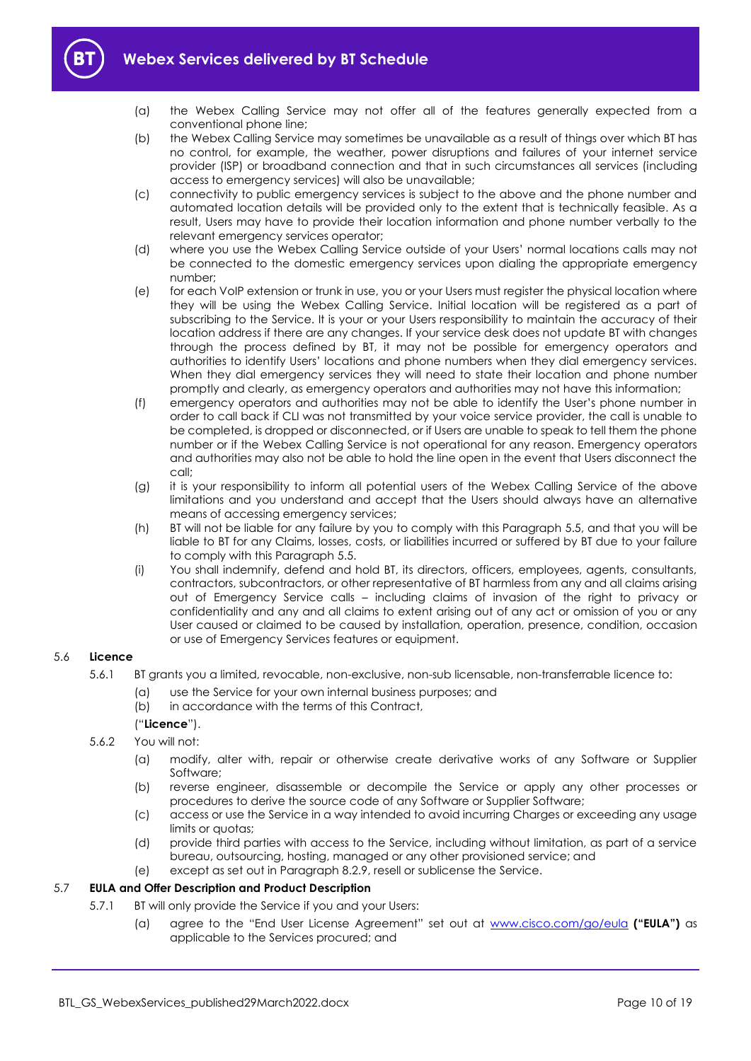



- (a) the Webex Calling Service may not offer all of the features generally expected from a conventional phone line;
- (b) the Webex Calling Service may sometimes be unavailable as a result of things over which BT has no control, for example, the weather, power disruptions and failures of your internet service provider (ISP) or broadband connection and that in such circumstances all services (including access to emergency services) will also be unavailable;
- (c) connectivity to public emergency services is subject to the above and the phone number and automated location details will be provided only to the extent that is technically feasible. As a result, Users may have to provide their location information and phone number verbally to the relevant emergency services operator;
- (d) where you use the Webex Calling Service outside of your Users' normal locations calls may not be connected to the domestic emergency services upon dialing the appropriate emergency number;
- (e) for each VoIP extension or trunk in use, you or your Users must register the physical location where they will be using the Webex Calling Service. Initial location will be registered as a part of subscribing to the Service. It is your or your Users responsibility to maintain the accuracy of their location address if there are any changes. If your service desk does not update BT with changes through the process defined by BT, it may not be possible for emergency operators and authorities to identify Users' locations and phone numbers when they dial emergency services. When they dial emergency services they will need to state their location and phone number promptly and clearly, as emergency operators and authorities may not have this information;
- (f) emergency operators and authorities may not be able to identify the User's phone number in order to call back if CLI was not transmitted by your voice service provider, the call is unable to be completed, is dropped or disconnected, or if Users are unable to speak to tell them the phone number or if the Webex Calling Service is not operational for any reason. Emergency operators and authorities may also not be able to hold the line open in the event that Users disconnect the call;
- (g) it is your responsibility to inform all potential users of the Webex Calling Service of the above limitations and you understand and accept that the Users should always have an alternative means of accessing emergency services;
- (h) BT will not be liable for any failure by you to comply with this Paragraph [5.5,](#page-8-1) and that you will be liable to BT for any Claims, losses, costs, or liabilities incurred or suffered by BT due to your failure to comply with this Paragrap[h 5.5.](#page-8-1)
- (i) You shall indemnify, defend and hold BT, its directors, officers, employees, agents, consultants, contractors, subcontractors, or other representative of BT harmless from any and all claims arising out of Emergency Service calls – including claims of invasion of the right to privacy or confidentiality and any and all claims to extent arising out of any act or omission of you or any User caused or claimed to be caused by installation, operation, presence, condition, occasion or use of Emergency Services features or equipment.

#### <span id="page-9-0"></span>5.6 **Licence**

- 5.6.1 BT grants you a limited, revocable, non-exclusive, non-sub licensable, non-transferrable licence to:
	- (a) use the Service for your own internal business purposes; and
	- (b) in accordance with the terms of this Contract,

("**Licence**").

- 5.6.2 You will not:
	- (a) modify, alter with, repair or otherwise create derivative works of any Software or Supplier Software;
	- (b) reverse engineer, disassemble or decompile the Service or apply any other processes or procedures to derive the source code of any Software or Supplier Software;
	- (c) access or use the Service in a way intended to avoid incurring Charges or exceeding any usage limits or quotas;
	- (d) provide third parties with access to the Service, including without limitation, as part of a service bureau, outsourcing, hosting, managed or any other provisioned service; and
	- (e) except as set out in Paragraph [8.2.9,](#page-13-0) resell or sublicense the Service.

#### 5.7 **EULA and Offer Description and Product Description**

- 5.7.1 BT will only provide the Service if you and your Users:
	- (a) agree to the "End User License Agreement" set out at [www.cisco.com/go/eula](http://www.cisco.com/go/eula) **("EULA")** as applicable to the Services procured; and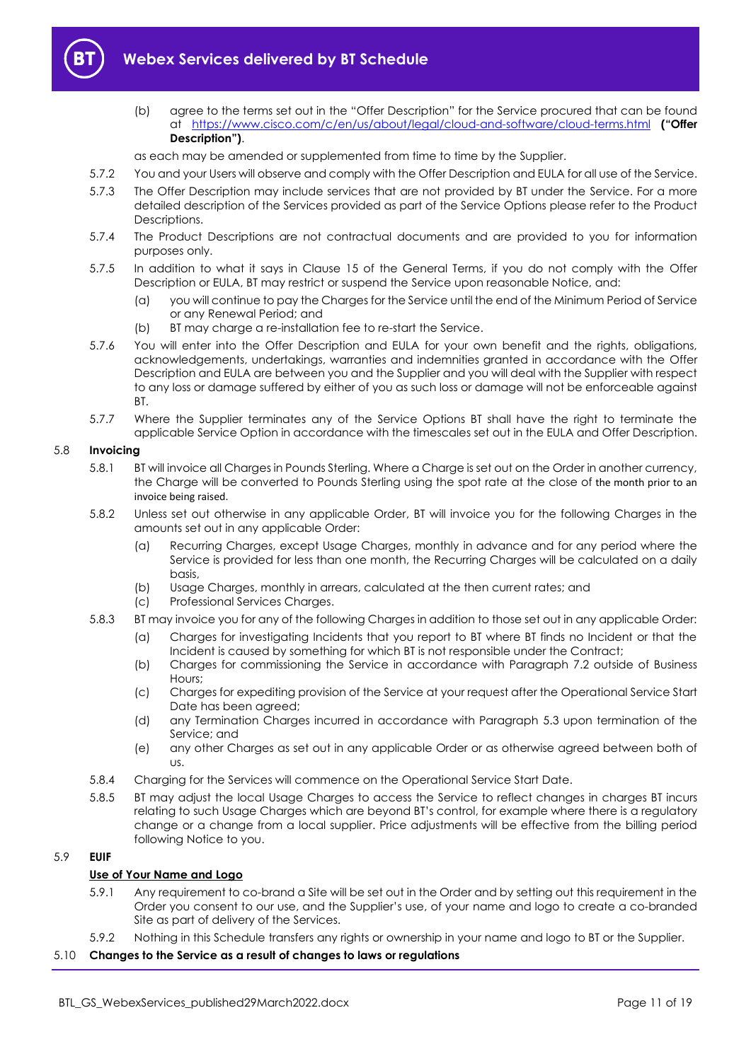<span id="page-10-2"></span>

(b) agree to the terms set out in the "Offer Description" for the Service procured that can be found at <https://www.cisco.com/c/en/us/about/legal/cloud-and-software/cloud-terms.html> **("Offer Description")**.

as each may be amended or supplemented from time to time by the Supplier.

- 5.7.2 You and your Users will observe and comply with the Offer Description and EULA for all use of the Service.
- 5.7.3 The Offer Description may include services that are not provided by BT under the Service. For a more detailed description of the Services provided as part of the Service Options please refer to the Product Descriptions.
- 5.7.4 The Product Descriptions are not contractual documents and are provided to you for information purposes only.
- 5.7.5 In addition to what it says in Clause 15 of the General Terms, if you do not comply with the Offer Description or EULA, BT may restrict or suspend the Service upon reasonable Notice, and:
	- (a) you will continue to pay the Charges for the Service until the end of the Minimum Period of Service or any Renewal Period; and
	- (b) BT may charge a re-installation fee to re-start the Service.
- 5.7.6 You will enter into the Offer Description and EULA for your own benefit and the rights, obligations, acknowledgements, undertakings, warranties and indemnities granted in accordance with the Offer Description and EULA are between you and the Supplier and you will deal with the Supplier with respect to any loss or damage suffered by either of you as such loss or damage will not be enforceable against BT.
- 5.7.7 Where the Supplier terminates any of the Service Options BT shall have the right to terminate the applicable Service Option in accordance with the timescales set out in the EULA and Offer Description.

#### <span id="page-10-0"></span>5.8 **Invoicing**

- 5.8.1 BT will invoice all Charges in Pounds Sterling. Where a Charge is set out on the Order in another currency, the Charge will be converted to Pounds Sterling using the spot rate at the close of the month prior to an invoice being raised.
- 5.8.2 Unless set out otherwise in any applicable Order, BT will invoice you for the following Charges in the amounts set out in any applicable Order:
	- (a) Recurring Charges, except Usage Charges, monthly in advance and for any period where the Service is provided for less than one month, the Recurring Charges will be calculated on a daily basis,
	- (b) Usage Charges, monthly in arrears, calculated at the then current rates; and
	- (c) Professional Services Charges.
- 5.8.3 BT may invoice you for any of the following Charges in addition to those set out in any applicable Order:
	- (a) Charges for investigating Incidents that you report to BT where BT finds no Incident or that the Incident is caused by something for which BT is not responsible under the Contract;
	- (b) Charges for commissioning the Service in accordance with Paragraph [7.2](#page-12-3) outside of Business Hours;
	- (c) Charges for expediting provision of the Service at your request after the Operational Service Start Date has been agreed;
	- (d) any Termination Charges incurred in accordance with Paragraph [5.3](#page-7-6) upon termination of the Service; and
	- (e) any other Charges as set out in any applicable Order or as otherwise agreed between both of us.
- 5.8.4 Charging for the Services will commence on the Operational Service Start Date.
- <span id="page-10-1"></span>5.8.5 BT may adjust the local Usage Charges to access the Service to reflect changes in charges BT incurs relating to such Usage Charges which are beyond BT's control, for example where there is a regulatory change or a change from a local supplier. Price adjustments will be effective from the billing period following Notice to you.

#### 5.9 **EUIF**

#### **Use of Your Name and Logo**

- 5.9.1 Any requirement to co-brand a Site will be set out in the Order and by setting out this requirement in the Order you consent to our use, and the Supplier's use, of your name and logo to create a co-branded Site as part of delivery of the Services.
- 5.9.2 Nothing in this Schedule transfers any rights or ownership in your name and logo to BT or the Supplier.

5.10 **Changes to the Service as a result of changes to laws or regulations**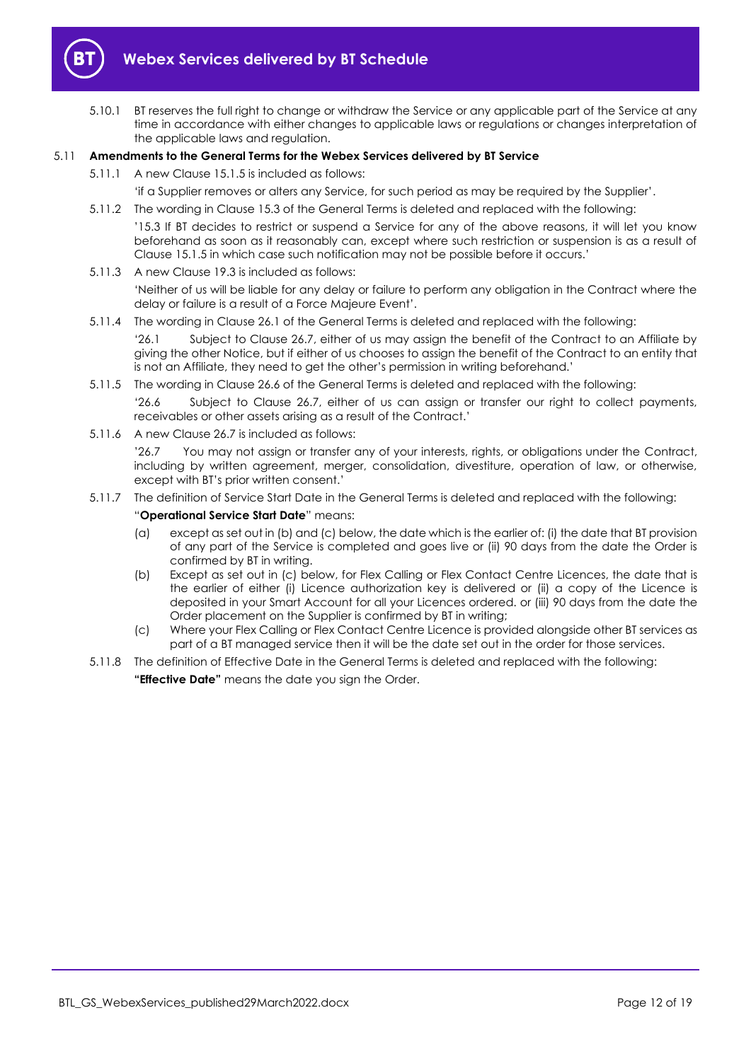

5.10.1 BT reserves the full right to change or withdraw the Service or any applicable part of the Service at any time in accordance with either changes to applicable laws or regulations or changes interpretation of the applicable laws and regulation.

#### 5.11 **Amendments to the General Terms for the Webex Services delivered by BT Service**

- 5.11.1 A new Clause 15.1.5 is included as follows:
	- 'if a Supplier removes or alters any Service, for such period as may be required by the Supplier'.
- 5.11.2 The wording in Clause 15.3 of the General Terms is deleted and replaced with the following: '15.3 If BT decides to restrict or suspend a Service for any of the above reasons, it will let you know beforehand as soon as it reasonably can, except where such restriction or suspension is as a result of Clause 15.1.5 in which case such notification may not be possible before it occurs.'
- 5.11.3 A new Clause 19.3 is included as follows: 'Neither of us will be liable for any delay or failure to perform any obligation in the Contract where the delay or failure is a result of a Force Majeure Event'.
- 5.11.4 The wording in Clause 26.1 of the General Terms is deleted and replaced with the following:

'26.1 Subject to Clause 26.7, either of us may assign the benefit of the Contract to an Affiliate by giving the other Notice, but if either of us chooses to assign the benefit of the Contract to an entity that is not an Affiliate, they need to get the other's permission in writing beforehand.'

- 5.11.5 The wording in Clause 26.6 of the General Terms is deleted and replaced with the following: '26.6 Subject to Clause 26.7, either of us can assign or transfer our right to collect payments, receivables or other assets arising as a result of the Contract.'
- 5.11.6 A new Clause 26.7 is included as follows:

'26.7 You may not assign or transfer any of your interests, rights, or obligations under the Contract, including by written agreement, merger, consolidation, divestiture, operation of law, or otherwise, except with BT's prior written consent.'

5.11.7 The definition of Service Start Date in the General Terms is deleted and replaced with the following:

#### "**Operational Service Start Date**" means:

- (a) except as set out in (b) and (c) below, the date which is the earlier of: (i) the date that BT provision of any part of the Service is completed and goes live or (ii) 90 days from the date the Order is confirmed by BT in writing.
- (b) Except as set out in (c) below, for Flex Calling or Flex Contact Centre Licences, the date that is the earlier of either (i) Licence authorization key is delivered or (ii) a copy of the Licence is deposited in your Smart Account for all your Licences ordered. or (iii) 90 days from the date the Order placement on the Supplier is confirmed by BT in writing;
- (c) Where your Flex Calling or Flex Contact Centre Licence is provided alongside other BT services as part of a BT managed service then it will be the date set out in the order for those services.
- 5.11.8 The definition of Effective Date in the General Terms is deleted and replaced with the following:

**"Effective Date"** means the date you sign the Order.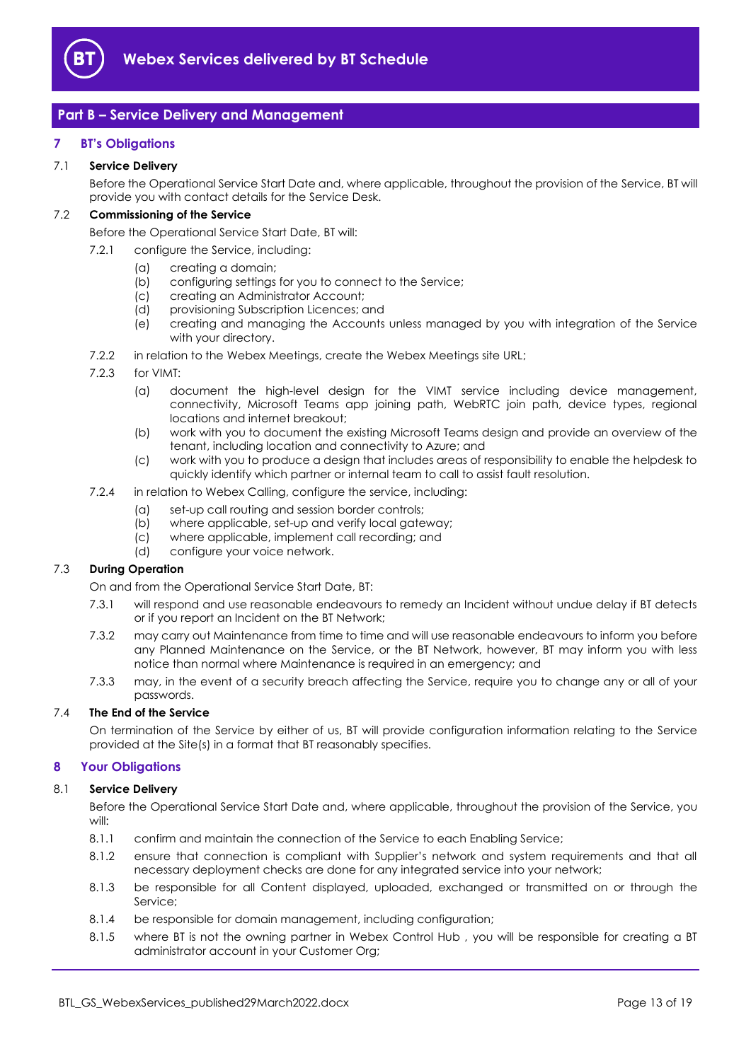

## <span id="page-12-0"></span>**Part B – Service Delivery and Management**

#### <span id="page-12-1"></span>**7 BT's Obligations**

#### 7.1 **Service Delivery**

Before the Operational Service Start Date and, where applicable, throughout the provision of the Service, BT will provide you with contact details for the Service Desk.

#### <span id="page-12-3"></span>7.2 **Commissioning of the Service**

Before the Operational Service Start Date, BT will:

- 7.2.1 configure the Service, including:
	- (a) creating a domain;
	- (b) configuring settings for you to connect to the Service;
	- (c) creating an Administrator Account;
	- (d) provisioning Subscription Licences; and
	- (e) creating and managing the Accounts unless managed by you with integration of the Service with your directory.
- 7.2.2 in relation to the Webex Meetings, create the Webex Meetings site URL;
- 7.2.3 for VIMT:
	- (a) document the high-level design for the VIMT service including device management, connectivity, Microsoft Teams app joining path, WebRTC join path, device types, regional locations and internet breakout;
	- (b) work with you to document the existing Microsoft Teams design and provide an overview of the tenant, including location and connectivity to Azure; and
	- (c) work with you to produce a design that includes areas of responsibility to enable the helpdesk to quickly identify which partner or internal team to call to assist fault resolution.

#### 7.2.4 in relation to Webex Calling, configure the service, including:

- (a) set-up call routing and session border controls;
- (b) where applicable, set-up and verify local gateway;
- (c) where applicable, implement call recording; and
- (d) configure your voice network.

#### 7.3 **During Operation**

On and from the Operational Service Start Date, BT:

- 7.3.1 will respond and use reasonable endeavours to remedy an Incident without undue delay if BT detects or if you report an Incident on the BT Network;
- 7.3.2 may carry out Maintenance from time to time and will use reasonable endeavours to inform you before any Planned Maintenance on the Service, or the BT Network, however, BT may inform you with less notice than normal where Maintenance is required in an emergency; and
- 7.3.3 may, in the event of a security breach affecting the Service, require you to change any or all of your passwords.

#### 7.4 **The End of the Service**

On termination of the Service by either of us, BT will provide configuration information relating to the Service provided at the Site(s) in a format that BT reasonably specifies.

#### <span id="page-12-2"></span>**8 Your Obligations**

#### 8.1 **Service Delivery**

Before the Operational Service Start Date and, where applicable, throughout the provision of the Service, you will:

- 8.1.1 confirm and maintain the connection of the Service to each Enabling Service;
- 8.1.2 ensure that connection is compliant with Supplier's network and system requirements and that all necessary deployment checks are done for any integrated service into your network;
- 8.1.3 be responsible for all Content displayed, uploaded, exchanged or transmitted on or through the Service;
- 8.1.4 be responsible for domain management, including configuration;
- 8.1.5 where BT is not the owning partner in Webex Control Hub , you will be responsible for creating a BT administrator account in your Customer Org;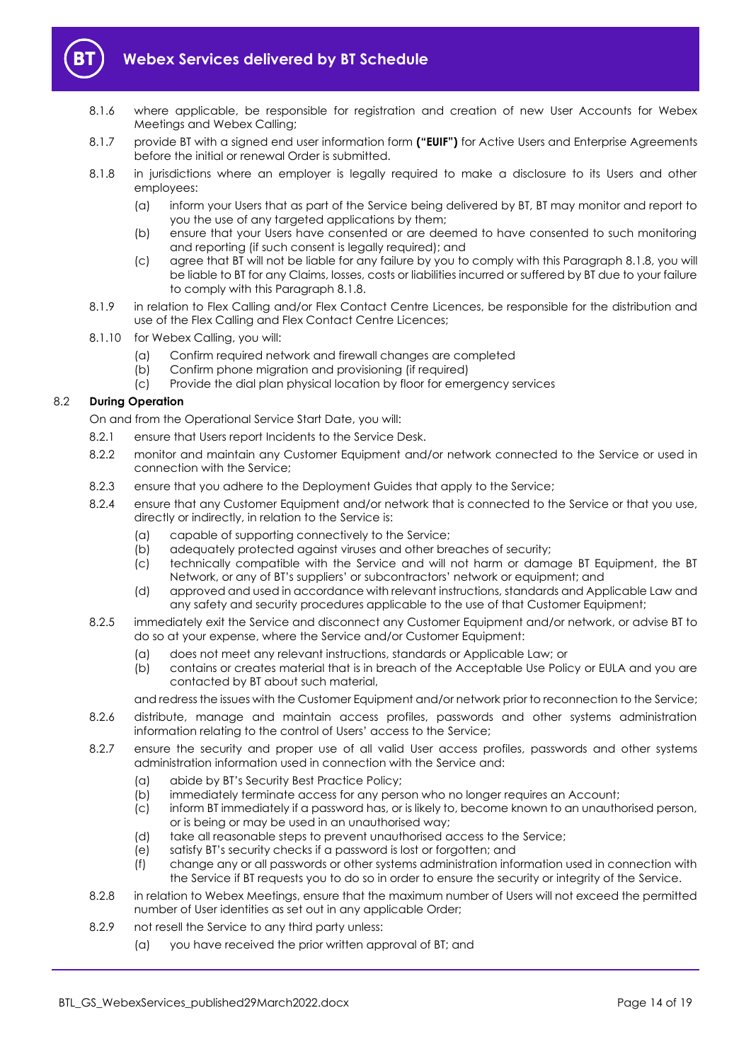

- 8.1.6 where applicable, be responsible for registration and creation of new User Accounts for Webex Meetings and Webex Calling;
- 8.1.7 provide BT with a signed end user information form **("EUIF")** for Active Users and Enterprise Agreements before the initial or renewal Order is submitted.
- <span id="page-13-1"></span>8.1.8 in jurisdictions where an employer is legally required to make a disclosure to its Users and other employees:
	- (a) inform your Users that as part of the Service being delivered by BT, BT may monitor and report to you the use of any targeted applications by them;
	- (b) ensure that your Users have consented or are deemed to have consented to such monitoring and reporting (if such consent is legally required); and
	- (c) agree that BT will not be liable for any failure by you to comply with this Paragraph [8.1.8,](#page-13-1) you will be liable to BT for any Claims, losses, costs or liabilities incurred or suffered by BT due to your failure to comply with this Paragrap[h 8.1.8.](#page-13-1)
- 8.1.9 in relation to Flex Calling and/or Flex Contact Centre Licences, be responsible for the distribution and use of the Flex Calling and Flex Contact Centre Licences;
- 8.1.10 for Webex Calling, you will:
	- (a) Confirm required network and firewall changes are completed
	- (b) Confirm phone migration and provisioning (if required)
	- (c) Provide the dial plan physical location by floor for emergency services

#### <span id="page-13-3"></span><span id="page-13-2"></span>8.2 **During Operation**

On and from the Operational Service Start Date, you will:

- 8.2.1 ensure that Users report Incidents to the Service Desk.
- 8.2.2 monitor and maintain any Customer Equipment and/or network connected to the Service or used in connection with the Service;
- 8.2.3 ensure that you adhere to the Deployment Guides that apply to the Service;
- 8.2.4 ensure that any Customer Equipment and/or network that is connected to the Service or that you use, directly or indirectly, in relation to the Service is:
	- (a) capable of supporting connectively to the Service;<br>(b) adequately protected against viruses and other bre
	- adequately protected against viruses and other breaches of security;
	- (c) technically compatible with the Service and will not harm or damage BT Equipment, the BT Network, or any of BT's suppliers' or subcontractors' network or equipment; and
	- (d) approved and used in accordance with relevant instructions, standards and Applicable Law and any safety and security procedures applicable to the use of that Customer Equipment;
- 8.2.5 immediately exit the Service and disconnect any Customer Equipment and/or network, or advise BT to do so at your expense, where the Service and/or Customer Equipment:
	- (a) does not meet any relevant instructions, standards or Applicable Law; or
	- (b) contains or creates material that is in breach of the Acceptable Use Policy or EULA and you are contacted by BT about such material,

and redress the issues with the Customer Equipment and/or network prior to reconnection to the Service;

- 8.2.6 distribute, manage and maintain access profiles, passwords and other systems administration information relating to the control of Users' access to the Service;
- 8.2.7 ensure the security and proper use of all valid User access profiles, passwords and other systems administration information used in connection with the Service and:
	- (a) abide by BT's Security Best Practice Policy;
	- (b) immediately terminate access for any person who no longer requires an Account;
	- (c) inform BT immediately if a password has, or is likely to, become known to an unauthorised person, or is being or may be used in an unauthorised way;
	- (d) take all reasonable steps to prevent unauthorised access to the Service;
	- (e) satisfy BT's security checks if a password is lost or forgotten; and
	- (f) change any or all passwords or other systems administration information used in connection with the Service if BT requests you to do so in order to ensure the security or integrity of the Service.
- 8.2.8 in relation to Webex Meetings, ensure that the maximum number of Users will not exceed the permitted number of User identities as set out in any applicable Order;
- <span id="page-13-0"></span>8.2.9 not resell the Service to any third party unless:
	- (a) you have received the prior written approval of BT; and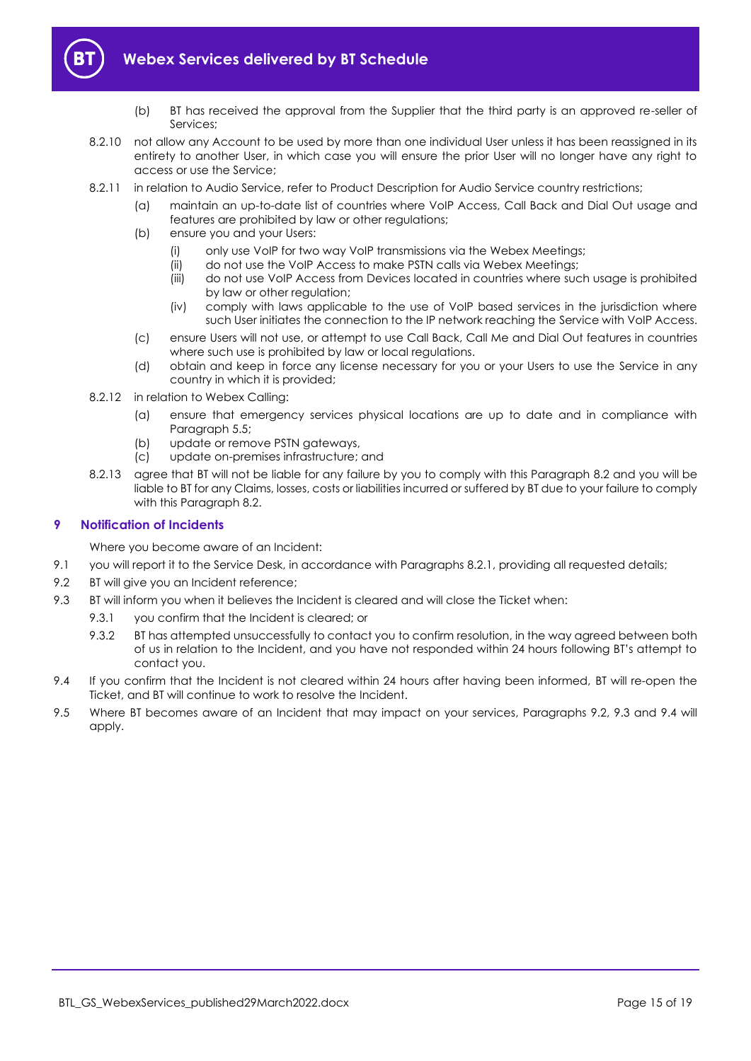

- (b) BT has received the approval from the Supplier that the third party is an approved re-seller of Services;
- 8.2.10 not allow any Account to be used by more than one individual User unless it has been reassigned in its entirety to another User, in which case you will ensure the prior User will no longer have any right to access or use the Service;
- 8.2.11 in relation to Audio Service, refer to Product Description for Audio Service country restrictions;
	- (a) maintain an up-to-date list of countries where VoIP Access, Call Back and Dial Out usage and features are prohibited by law or other regulations;
	- (b) ensure you and your Users:
		- (i) only use VoIP for two way VoIP transmissions via the Webex Meetings;
		- (ii) do not use the VoIP Access to make PSTN calls via Webex Meetings;
		- (iii) do not use VoIP Access from Devices located in countries where such usage is prohibited by law or other regulation;
		- (iv) comply with laws applicable to the use of VoIP based services in the jurisdiction where such User initiates the connection to the IP network reaching the Service with VoIP Access.
	- (c) ensure Users will not use, or attempt to use Call Back, Call Me and Dial Out features in countries where such use is prohibited by law or local regulations.
	- (d) obtain and keep in force any license necessary for you or your Users to use the Service in any country in which it is provided;
- 8.2.12 in relation to Webex Calling:
	- (a) ensure that emergency services physical locations are up to date and in compliance with Paragraph [5.5;](#page-8-1)
	- (b) update or remove PSTN gateways,
	- (c) update on-premises infrastructure; and
- 8.2.13 agree that BT will not be liable for any failure by you to comply with this Paragraph [8.2](#page-13-2) and you will be liable to BT for any Claims, losses, costs or liabilities incurred or suffered by BT due to your failure to comply with this Paragrap[h 8.2.](#page-13-2)

#### <span id="page-14-0"></span>**9 Notification of Incidents**

Where you become aware of an Incident:

- 9.1 you will report it to the Service Desk, in accordance with Paragraphs [8.2.1,](#page-13-3) providing all requested details;
- <span id="page-14-1"></span>9.2 BT will give you an Incident reference;
- <span id="page-14-2"></span>9.3 BT will inform you when it believes the Incident is cleared and will close the Ticket when:
	- 9.3.1 you confirm that the Incident is cleared; or
	- 9.3.2 BT has attempted unsuccessfully to contact you to confirm resolution, in the way agreed between both of us in relation to the Incident, and you have not responded within 24 hours following BT's attempt to contact you.
- <span id="page-14-3"></span>9.4 If you confirm that the Incident is not cleared within 24 hours after having been informed, BT will re-open the Ticket, and BT will continue to work to resolve the Incident.
- 9.5 Where BT becomes aware of an Incident that may impact on your services, Paragraphs [9.2,](#page-14-1) [9.3](#page-14-2) and [9.4](#page-14-3) will apply.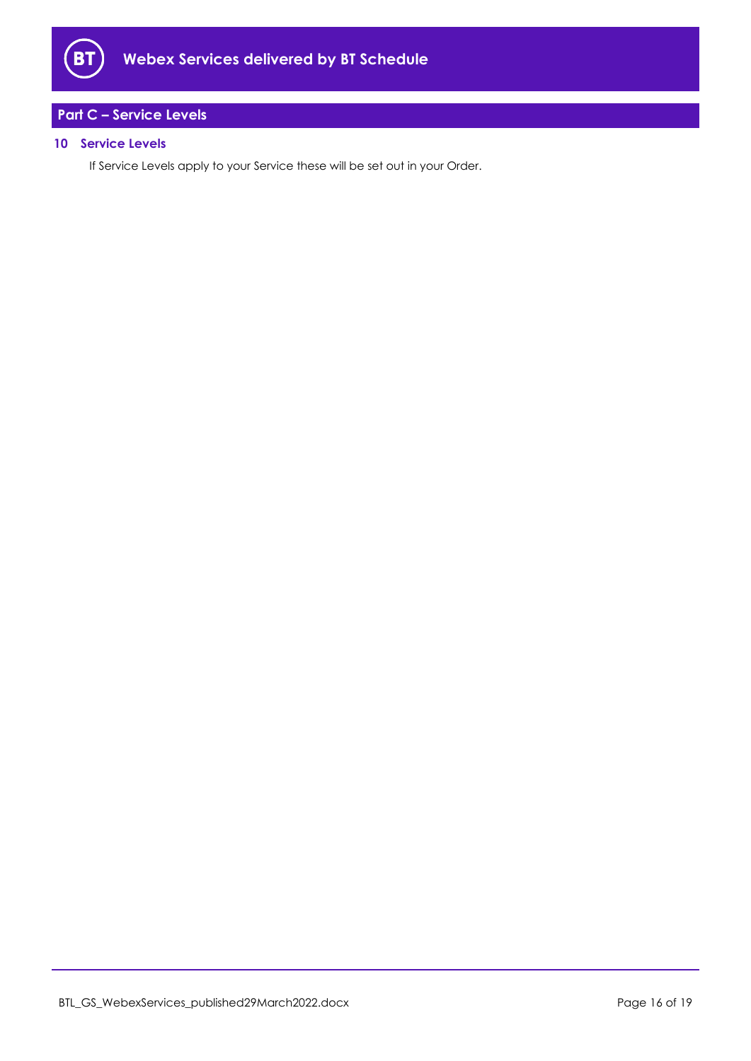

## <span id="page-15-0"></span>**Part C – Service Levels**

#### <span id="page-15-1"></span>**10 Service Levels**

If Service Levels apply to your Service these will be set out in your Order.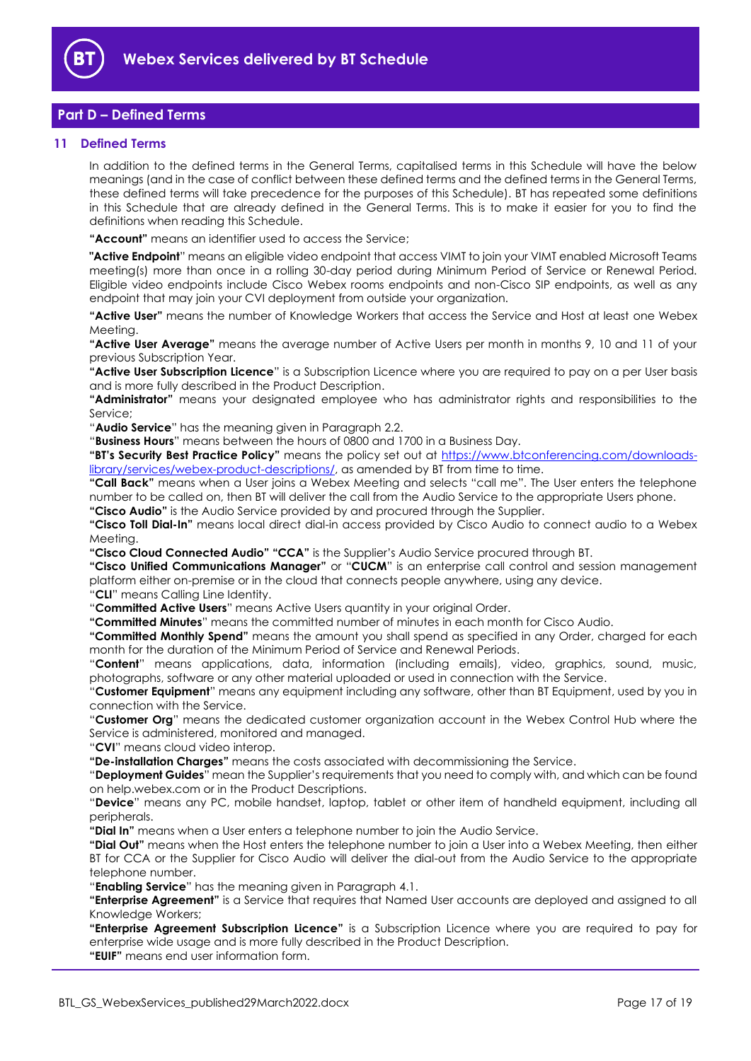

## <span id="page-16-0"></span>**Part D – Defined Terms**

#### <span id="page-16-1"></span>**11 Defined Terms**

In addition to the defined terms in the General Terms, capitalised terms in this Schedule will have the below meanings (and in the case of conflict between these defined terms and the defined terms in the General Terms, these defined terms will take precedence for the purposes of this Schedule). BT has repeated some definitions in this Schedule that are already defined in the General Terms. This is to make it easier for you to find the definitions when reading this Schedule.

**"Account"** means an identifier used to access the Service;

**"Active Endpoint**" means an eligible video endpoint that access VIMT to join your VIMT enabled Microsoft Teams meeting(s) more than once in a rolling 30-day period during Minimum Period of Service or Renewal Period. Eligible video endpoints include Cisco Webex rooms endpoints and non-Cisco SIP endpoints, as well as any endpoint that may join your CVI deployment from outside your organization.

**"Active User"** means the number of Knowledge Workers that access the Service and Host at least one Webex Meeting.

**"Active User Average"** means the average number of Active Users per month in months 9, 10 and 11 of your previous Subscription Year.

**"Active User Subscription Licence**" is a Subscription Licence where you are required to pay on a per User basis and is more fully described in the Product Description.

**"Administrator"** means your designated employee who has administrator rights and responsibilities to the Service;

"**Audio Service**" has the meaning given in Paragraph [2.2.](#page-2-0)

"**Business Hours**" means between the hours of 0800 and 1700 in a Business Day.

**"BT's Security Best Practice Policy"** means the policy set out at [https://www.btconferencing.com/downloads](https://www.btconferencing.com/downloads-library/services/webex-product-descriptions/)[library/services/webex-product-descriptions/,](https://www.btconferencing.com/downloads-library/services/webex-product-descriptions/) as amended by BT from time to time.

**"Call Back"** means when a User joins a Webex Meeting and selects "call me". The User enters the telephone number to be called on, then BT will deliver the call from the Audio Service to the appropriate Users phone.

**"Cisco Audio"** is the Audio Service provided by and procured through the Supplier.

**"Cisco Toll Dial-In"** means local direct dial-in access provided by Cisco Audio to connect audio to a Webex Meeting.

**"Cisco Cloud Connected Audio" "CCA"** is the Supplier's Audio Service procured through BT.

**"Cisco Unified Communications Manager"** or "**CUCM**" is an enterprise call control and session management platform either on-premise or in the cloud that connects people anywhere, using any device.

"**CLI**" means Calling Line Identity.

"**Committed Active Users**" means Active Users quantity in your original Order.

**"Committed Minutes**" means the committed number of minutes in each month for Cisco Audio.

**"Committed Monthly Spend"** means the amount you shall spend as specified in any Order, charged for each month for the duration of the Minimum Period of Service and Renewal Periods.

"**Content**" means applications, data, information (including emails), video, graphics, sound, music, photographs, software or any other material uploaded or used in connection with the Service.

"**Customer Equipment**" means any equipment including any software, other than BT Equipment, used by you in connection with the Service.

"**Customer Org**" means the dedicated customer organization account in the Webex Control Hub where the Service is administered, monitored and managed.

"**CVI**" means cloud video interop.

**"De-installation Charges"** means the costs associated with decommissioning the Service.

"**Deployment Guides**" mean the Supplier's requirements that you need to comply with, and which can be found on help.webex.com or in the Product Descriptions.

"**Device**" means any PC, mobile handset, laptop, tablet or other item of handheld equipment, including all peripherals.

**"Dial In"** means when a User enters a telephone number to join the Audio Service.

**"Dial Out"** means when the Host enters the telephone number to join a User into a Webex Meeting, then either BT for CCA or the Supplier for Cisco Audio will deliver the dial-out from the Audio Service to the appropriate telephone number.

"**Enabling Service**" has the meaning given in Paragrap[h 4.1.](#page-6-2)

**"Enterprise Agreement"** is a Service that requires that Named User accounts are deployed and assigned to all Knowledge Workers;

**"Enterprise Agreement Subscription Licence"** is a Subscription Licence where you are required to pay for enterprise wide usage and is more fully described in the Product Description.

**"EUIF"** means end user information form.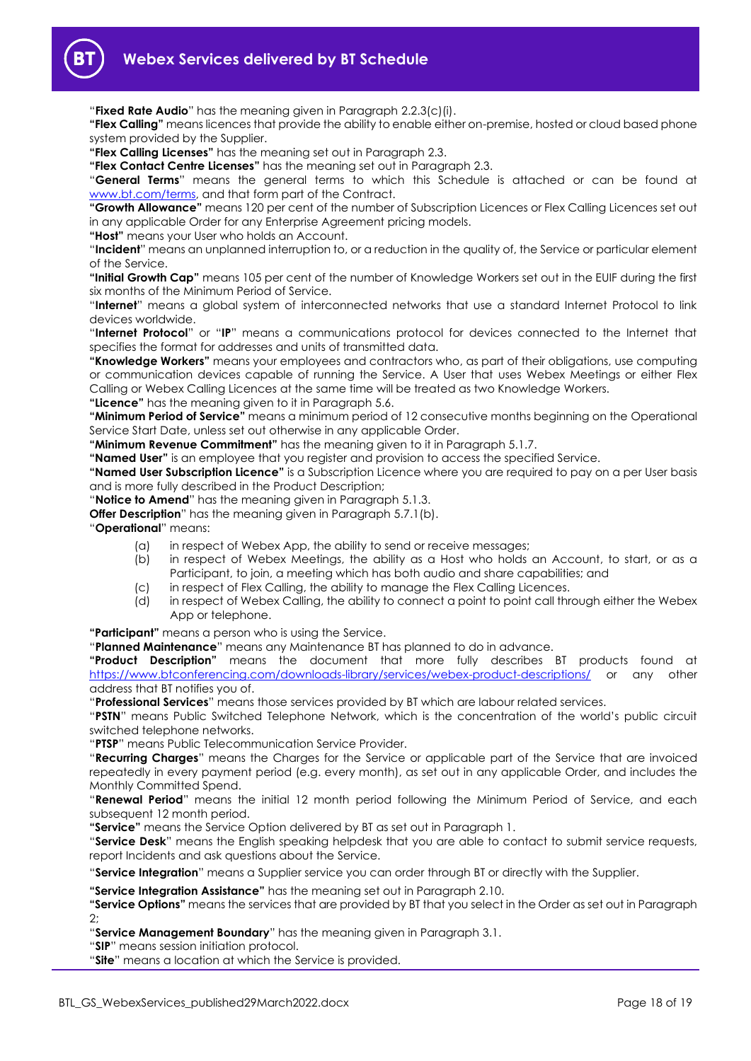

"**Fixed Rate Audio**" has the meaning given in Paragraph [2.2.3\(c\)\(i\).](#page-2-1)

**"Flex Calling"** means licences that provide the ability to enable either on-premise, hosted or cloud based phone system provided by the Supplier.

**"Flex Calling Licenses"** has the meaning set out in Paragraph [2.3.](#page-3-0)

**"Flex Contact Centre Licenses"** has the meaning set out in Paragrap[h 2.3.](#page-3-0)

"**General Terms**" means the general terms to which this Schedule is attached or can be found at [www.bt.com/terms,](http://www.bt.com/terms) and that form part of the Contract.

**"Growth Allowance"** means 120 per cent of the number of Subscription Licences or Flex Calling Licences set out in any applicable Order for any Enterprise Agreement pricing models.

**"Host"** means your User who holds an Account.

"**Incident**" means an unplanned interruption to, or a reduction in the quality of, the Service or particular element of the Service.

**"Initial Growth Cap"** means 105 per cent of the number of Knowledge Workers set out in the EUIF during the first six months of the Minimum Period of Service.

"**Internet**" means a global system of interconnected networks that use a standard Internet Protocol to link devices worldwide.

"**Internet Protocol**" or "**IP**" means a communications protocol for devices connected to the Internet that specifies the format for addresses and units of transmitted data.

**"Knowledge Workers"** means your employees and contractors who, as part of their obligations, use computing or communication devices capable of running the Service. A User that uses Webex Meetings or either Flex Calling or Webex Calling Licences at the same time will be treated as two Knowledge Workers.

**"Licence"** has the meaning given to it in Paragraph [5.6.](#page-9-0)

**"Minimum Period of Service"** means a minimum period of 12 consecutive months beginning on the Operational Service Start Date, unless set out otherwise in any applicable Order.

**"Minimum Revenue Commitment"** has the meaning given to it in Paragraph [5.1.7.](#page-7-7)

**"Named User"** is an employee that you register and provision to access the specified Service.

**"Named User Subscription Licence"** is a Subscription Licence where you are required to pay on a per User basis and is more fully described in the Product Description;

"**Notice to Amend**" has the meaning given in Paragraph [5.1.3.](#page-7-1)

**Offer Description**" has the meaning given in Paragraph [5.7.1\(b\).](#page-10-2)

"**Operational**" means:

- (a) in respect of Webex App, the ability to send or receive messages;
- (b) in respect of Webex Meetings, the ability as a Host who holds an Account, to start, or as a Participant, to join, a meeting which has both audio and share capabilities; and
- (c) in respect of Flex Calling, the ability to manage the Flex Calling Licences.
- (d) in respect of Webex Calling, the ability to connect a point to point call through either the Webex App or telephone.

**"Participant"** means a person who is using the Service.

"**Planned Maintenance**" means any Maintenance BT has planned to do in advance.

**"Product Description"** means the document that more fully describes BT products found at <https://www.btconferencing.com/downloads-library/services/webex-product-descriptions/> or any other address that BT notifies you of.

"**Professional Services**" means those services provided by BT which are labour related services.

"**PSTN**" means Public Switched Telephone Network, which is the concentration of the world's public circuit switched telephone networks.

"**PTSP**" means Public Telecommunication Service Provider.

"**Recurring Charges**" means the Charges for the Service or applicable part of the Service that are invoiced repeatedly in every payment period (e.g. every month), as set out in any applicable Order, and includes the Monthly Committed Spend.

"**Renewal Period**" means the initial 12 month period following the Minimum Period of Service, and each subsequent 12 month period.

**"Service"** means the Service Option delivered by BT as set out in Paragraph 1.

"**Service Desk**" means the English speaking helpdesk that you are able to contact to submit service requests, report Incidents and ask questions about the Service.

"**Service Integration**" means a Supplier service you can order through BT or directly with the Supplier.

**"Service Integration Assistance"** has the meaning set out in Paragraph [2.10.](#page-6-3)

**"Service Options"** means the services that are provided by BT that you select in the Order as set out in Paragraph [2;](#page-1-4)

"**Service Management Boundary**" has the meaning given in Paragrap[h 3.1.](#page-6-4)

"**SIP**" means session initiation protocol.

"**Site**" means a location at which the Service is provided.